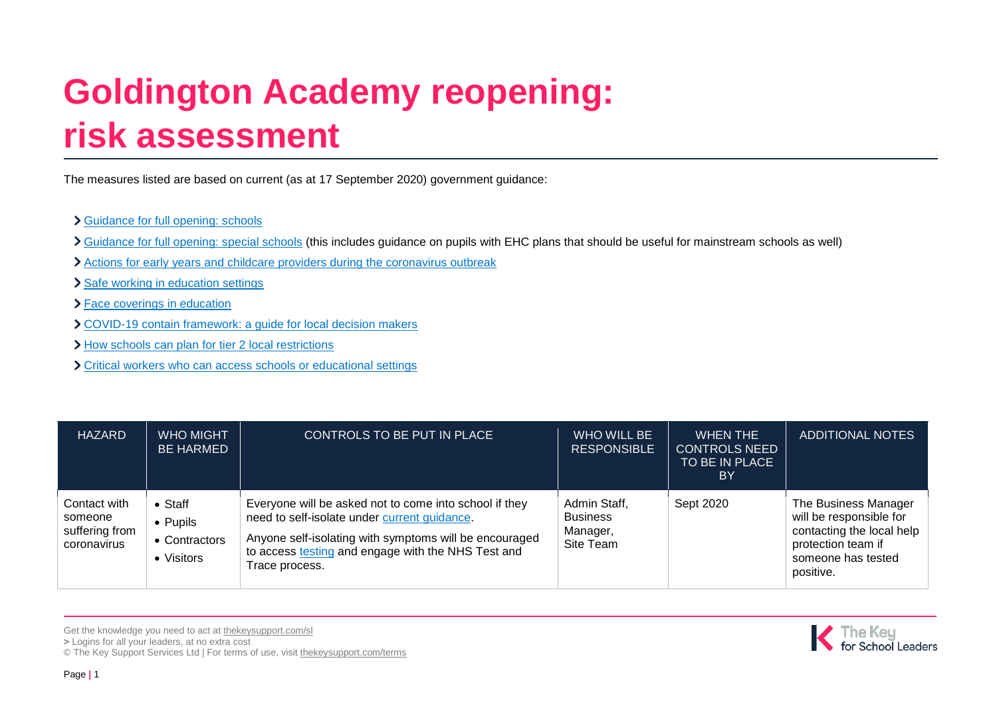## **Goldington Academy reopening: risk assessment**

The measures listed are based on current (as at 17 September 2020) government guidance:

## [Guidance for full opening: schools](https://www.gov.uk/government/publications/actions-for-schools-during-the-coronavirus-outbreak/guidance-for-full-opening-schools)

- [Guidance for full opening: special schools](https://www.gov.uk/government/publications/guidance-for-full-opening-special-schools-and-other-specialist-settings/guidance-for-full-opening-special-schools-and-other-specialist-settings) (this includes guidance on pupils with EHC plans that should be useful for mainstream schools as well)
- [Actions for early years and childcare providers during the coronavirus outbreak](https://www.gov.uk/government/publications/coronavirus-covid-19-early-years-and-childcare-closures/coronavirus-covid-19-early-years-and-childcare-closures)
- > [Safe working in education settings](https://www.gov.uk/government/publications/safe-working-in-education-childcare-and-childrens-social-care/safe-working-in-education-childcare-and-childrens-social-care-settings-including-the-use-of-personal-protective-equipment-ppe)
- [Face coverings in education](https://www.gov.uk/government/publications/face-coverings-in-education/face-coverings-in-education)
- [COVID-19 contain framework: a guide for local decision makers](https://www.gov.uk/government/publications/containing-and-managing-local-coronavirus-covid-19-outbreaks/covid-19-contain-framework-a-guide-for-local-decision-makers#annex-3-tiers-of-national-restriction)
- > [How schools can plan for tier 2 local restrictions](https://www.gov.uk/government/publications/how-schools-can-plan-for-tier-2-local-restrictions/how-schools-can-plan-for-tier-2-local-restrictions)
- [Critical workers who can access schools or educational settings](https://www.gov.uk/government/publications/coronavirus-covid-19-maintaining-educational-provision/guidance-for-schools-colleges-and-local-authorities-on-maintaining-educational-provision)

| <b>HAZARD</b>                                            | <b>WHO MIGHT</b><br><b>BE HARMED</b>                       | CONTROLS TO BE PUT IN PLACE                                                                                                                                                                                                              | WHO WILL BE<br><b>RESPONSIBLE</b>                        | WHEN THE<br><b>CONTROLS NEED</b><br>TO BE IN PLACE<br>BY | ADDITIONAL NOTES                                                                                                                      |
|----------------------------------------------------------|------------------------------------------------------------|------------------------------------------------------------------------------------------------------------------------------------------------------------------------------------------------------------------------------------------|----------------------------------------------------------|----------------------------------------------------------|---------------------------------------------------------------------------------------------------------------------------------------|
| Contact with<br>someone<br>suffering from<br>coronavirus | $\bullet$ Staff<br>• Pupils<br>• Contractors<br>• Visitors | Everyone will be asked not to come into school if they<br>need to self-isolate under current guidance.<br>Anyone self-isolating with symptoms will be encouraged<br>to access testing and engage with the NHS Test and<br>Trace process. | Admin Staff,<br><b>Business</b><br>Manager,<br>Site Team | Sept 2020                                                | The Business Manager<br>will be responsible for<br>contacting the local help<br>protection team if<br>someone has tested<br>positive. |

Get the knowledge you need to act at [thekeysupport.com/sl](https://schoolleaders.thekeysupport.com/) **>** Logins for all your leaders, at no extra cost © The Key Support Services Ltd | For terms of use, visit [thekeysupport.com/terms](https://thekeysupport.com/terms-of-use)

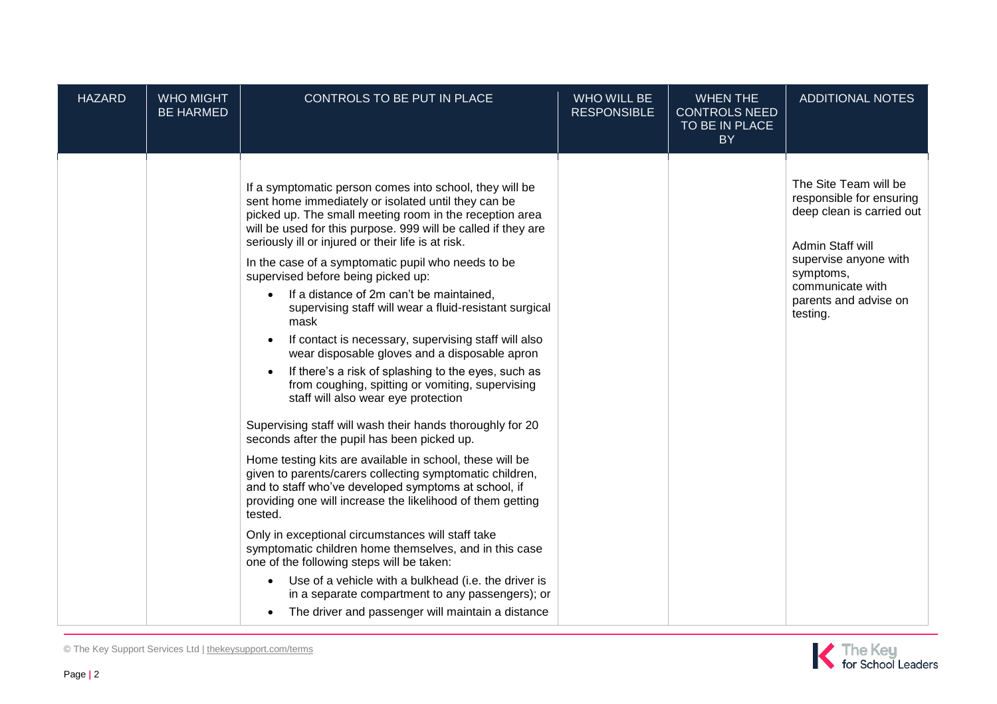| <b>HAZARD</b> | <b>WHO MIGHT</b><br><b>BE HARMED</b> | CONTROLS TO BE PUT IN PLACE                                                                                                                                                                                                                                                                                                                                                                                                                                                                                                                                                                                                                                                                                                                                                                                                                                                                                                                                                                                                                                                                                                                                                                                                                                                                                                                                                                                                                                                          | WHO WILL BE<br><b>RESPONSIBLE</b> | <b>WHEN THE</b><br><b>CONTROLS NEED</b><br>TO BE IN PLACE<br><b>BY</b> | <b>ADDITIONAL NOTES</b>                                                                                                                                                                           |
|---------------|--------------------------------------|--------------------------------------------------------------------------------------------------------------------------------------------------------------------------------------------------------------------------------------------------------------------------------------------------------------------------------------------------------------------------------------------------------------------------------------------------------------------------------------------------------------------------------------------------------------------------------------------------------------------------------------------------------------------------------------------------------------------------------------------------------------------------------------------------------------------------------------------------------------------------------------------------------------------------------------------------------------------------------------------------------------------------------------------------------------------------------------------------------------------------------------------------------------------------------------------------------------------------------------------------------------------------------------------------------------------------------------------------------------------------------------------------------------------------------------------------------------------------------------|-----------------------------------|------------------------------------------------------------------------|---------------------------------------------------------------------------------------------------------------------------------------------------------------------------------------------------|
|               |                                      | If a symptomatic person comes into school, they will be<br>sent home immediately or isolated until they can be<br>picked up. The small meeting room in the reception area<br>will be used for this purpose. 999 will be called if they are<br>seriously ill or injured or their life is at risk.<br>In the case of a symptomatic pupil who needs to be<br>supervised before being picked up:<br>If a distance of 2m can't be maintained,<br>$\bullet$<br>supervising staff will wear a fluid-resistant surgical<br>mask<br>If contact is necessary, supervising staff will also<br>wear disposable gloves and a disposable apron<br>If there's a risk of splashing to the eyes, such as<br>from coughing, spitting or vomiting, supervising<br>staff will also wear eye protection<br>Supervising staff will wash their hands thoroughly for 20<br>seconds after the pupil has been picked up.<br>Home testing kits are available in school, these will be<br>given to parents/carers collecting symptomatic children,<br>and to staff who've developed symptoms at school, if<br>providing one will increase the likelihood of them getting<br>tested.<br>Only in exceptional circumstances will staff take<br>symptomatic children home themselves, and in this case<br>one of the following steps will be taken:<br>Use of a vehicle with a bulkhead (i.e. the driver is<br>in a separate compartment to any passengers); or<br>The driver and passenger will maintain a distance |                                   |                                                                        | The Site Team will be<br>responsible for ensuring<br>deep clean is carried out<br>Admin Staff will<br>supervise anyone with<br>symptoms,<br>communicate with<br>parents and advise on<br>testing. |

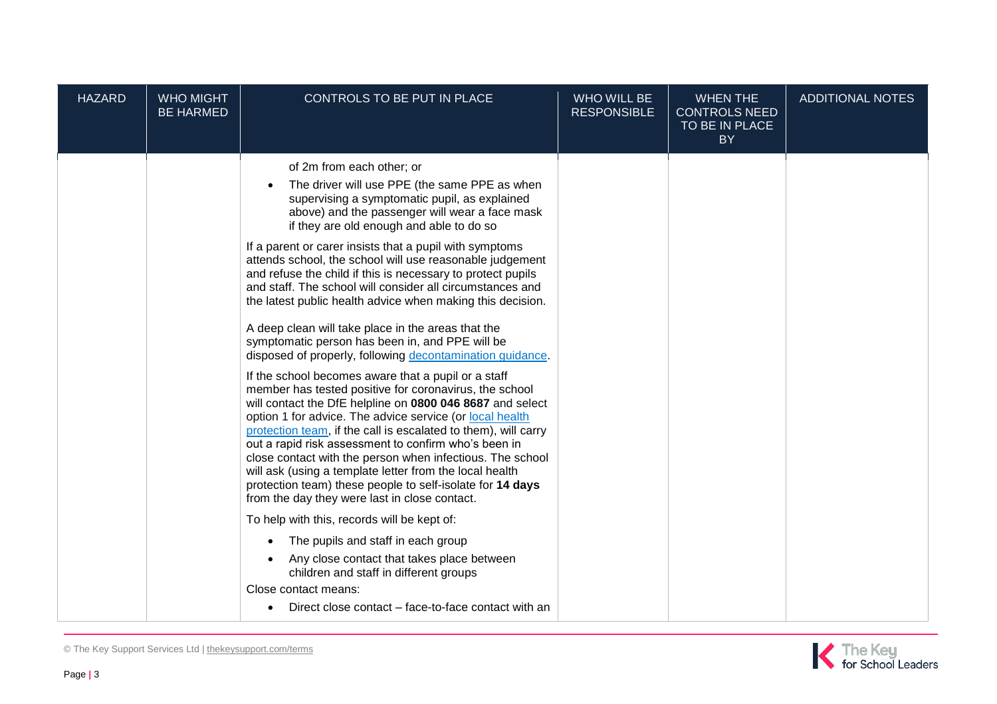| <b>HAZARD</b> | <b>WHO MIGHT</b><br><b>BE HARMED</b> | CONTROLS TO BE PUT IN PLACE                                                                                                                                                                                                                                                                                                                                                                                                                                                                                                                                                                                                                                                                                                                                                                                                                                                                                                                                                                                                                                                                                                                                                                                                                                                                                                                                                                                                                                                                                                                                                                         | <b>WHO WILL BE</b><br><b>RESPONSIBLE</b> | <b>WHEN THE</b><br><b>CONTROLS NEED</b><br>TO BE IN PLACE<br><b>BY</b> | <b>ADDITIONAL NOTES</b> |
|---------------|--------------------------------------|-----------------------------------------------------------------------------------------------------------------------------------------------------------------------------------------------------------------------------------------------------------------------------------------------------------------------------------------------------------------------------------------------------------------------------------------------------------------------------------------------------------------------------------------------------------------------------------------------------------------------------------------------------------------------------------------------------------------------------------------------------------------------------------------------------------------------------------------------------------------------------------------------------------------------------------------------------------------------------------------------------------------------------------------------------------------------------------------------------------------------------------------------------------------------------------------------------------------------------------------------------------------------------------------------------------------------------------------------------------------------------------------------------------------------------------------------------------------------------------------------------------------------------------------------------------------------------------------------------|------------------------------------------|------------------------------------------------------------------------|-------------------------|
|               |                                      | of 2m from each other; or<br>The driver will use PPE (the same PPE as when<br>supervising a symptomatic pupil, as explained<br>above) and the passenger will wear a face mask<br>if they are old enough and able to do so<br>If a parent or carer insists that a pupil with symptoms<br>attends school, the school will use reasonable judgement<br>and refuse the child if this is necessary to protect pupils<br>and staff. The school will consider all circumstances and<br>the latest public health advice when making this decision.<br>A deep clean will take place in the areas that the<br>symptomatic person has been in, and PPE will be<br>disposed of properly, following decontamination guidance.<br>If the school becomes aware that a pupil or a staff<br>member has tested positive for coronavirus, the school<br>will contact the DfE helpline on 0800 046 8687 and select<br>option 1 for advice. The advice service (or local health<br>protection team, if the call is escalated to them), will carry<br>out a rapid risk assessment to confirm who's been in<br>close contact with the person when infectious. The school<br>will ask (using a template letter from the local health<br>protection team) these people to self-isolate for 14 days<br>from the day they were last in close contact.<br>To help with this, records will be kept of:<br>The pupils and staff in each group<br>$\bullet$<br>Any close contact that takes place between<br>children and staff in different groups<br>Close contact means:<br>Direct close contact – face-to-face contact with an |                                          |                                                                        |                         |

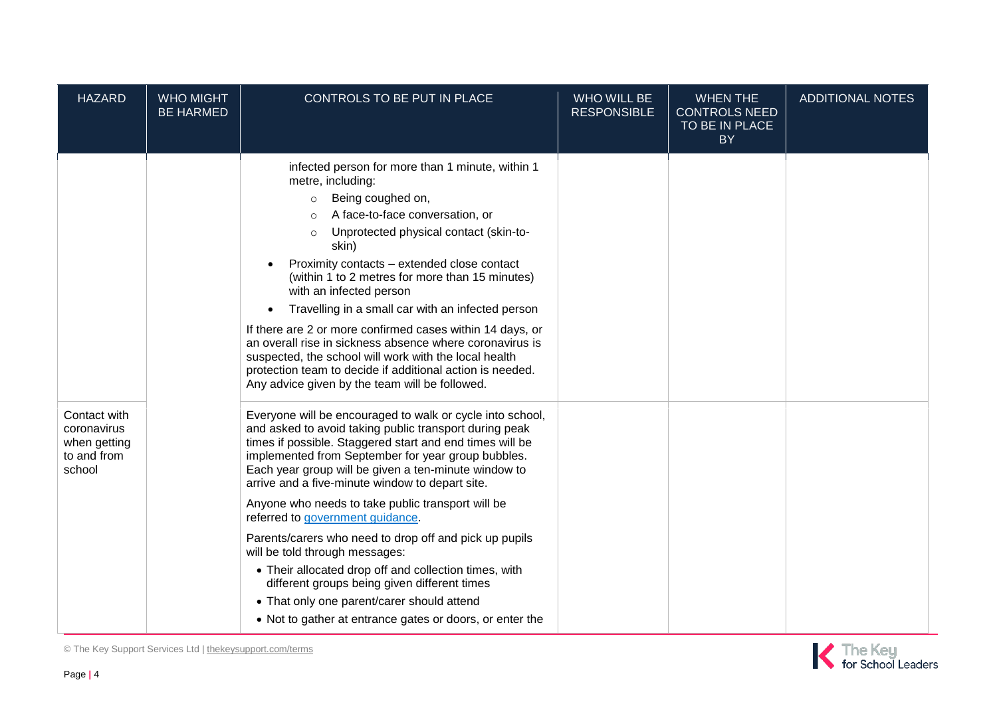| <b>HAZARD</b>                                                        | <b>WHO MIGHT</b><br><b>BE HARMED</b> | CONTROLS TO BE PUT IN PLACE                                                                                                                                                                                                                                                                                                                                                                                                                                                                                                                                                                                                                                                                                                                              | <b>WHO WILL BE</b><br><b>RESPONSIBLE</b> | <b>WHEN THE</b><br><b>CONTROLS NEED</b><br>TO BE IN PLACE<br><b>BY</b> | <b>ADDITIONAL NOTES</b> |
|----------------------------------------------------------------------|--------------------------------------|----------------------------------------------------------------------------------------------------------------------------------------------------------------------------------------------------------------------------------------------------------------------------------------------------------------------------------------------------------------------------------------------------------------------------------------------------------------------------------------------------------------------------------------------------------------------------------------------------------------------------------------------------------------------------------------------------------------------------------------------------------|------------------------------------------|------------------------------------------------------------------------|-------------------------|
|                                                                      |                                      | infected person for more than 1 minute, within 1<br>metre, including:<br>Being coughed on,<br>$\circ$<br>A face-to-face conversation, or<br>$\circ$<br>Unprotected physical contact (skin-to-<br>$\circ$<br>skin)<br>Proximity contacts - extended close contact<br>(within 1 to 2 metres for more than 15 minutes)<br>with an infected person<br>Travelling in a small car with an infected person<br>$\bullet$<br>If there are 2 or more confirmed cases within 14 days, or<br>an overall rise in sickness absence where coronavirus is<br>suspected, the school will work with the local health<br>protection team to decide if additional action is needed.<br>Any advice given by the team will be followed.                                        |                                          |                                                                        |                         |
| Contact with<br>coronavirus<br>when getting<br>to and from<br>school |                                      | Everyone will be encouraged to walk or cycle into school,<br>and asked to avoid taking public transport during peak<br>times if possible. Staggered start and end times will be<br>implemented from September for year group bubbles.<br>Each year group will be given a ten-minute window to<br>arrive and a five-minute window to depart site.<br>Anyone who needs to take public transport will be<br>referred to government guidance.<br>Parents/carers who need to drop off and pick up pupils<br>will be told through messages:<br>• Their allocated drop off and collection times, with<br>different groups being given different times<br>• That only one parent/carer should attend<br>• Not to gather at entrance gates or doors, or enter the |                                          |                                                                        |                         |

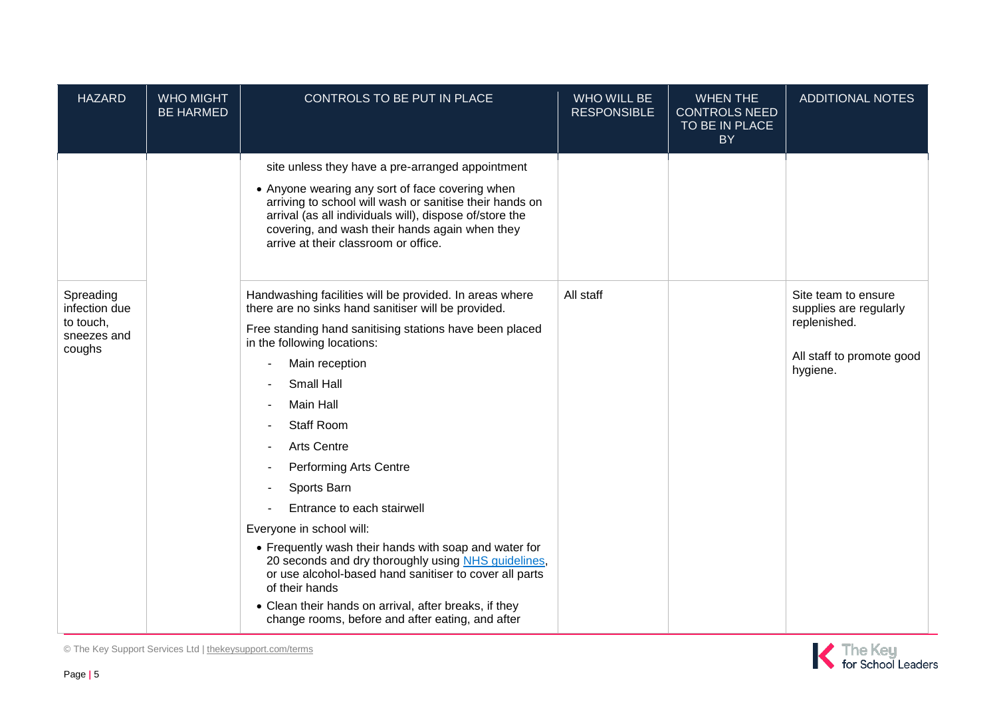| <b>HAZARD</b>                                                    | <b>WHO MIGHT</b><br><b>BE HARMED</b> | CONTROLS TO BE PUT IN PLACE                                                                                                                                                                                                                                                                                                                                                                                                                                                                                                                                                                                                                                                                                                | WHO WILL BE<br><b>RESPONSIBLE</b> | <b>WHEN THE</b><br><b>CONTROLS NEED</b><br>TO BE IN PLACE<br><b>BY</b> | <b>ADDITIONAL NOTES</b>                                                                                |
|------------------------------------------------------------------|--------------------------------------|----------------------------------------------------------------------------------------------------------------------------------------------------------------------------------------------------------------------------------------------------------------------------------------------------------------------------------------------------------------------------------------------------------------------------------------------------------------------------------------------------------------------------------------------------------------------------------------------------------------------------------------------------------------------------------------------------------------------------|-----------------------------------|------------------------------------------------------------------------|--------------------------------------------------------------------------------------------------------|
|                                                                  |                                      | site unless they have a pre-arranged appointment<br>• Anyone wearing any sort of face covering when<br>arriving to school will wash or sanitise their hands on<br>arrival (as all individuals will), dispose of/store the<br>covering, and wash their hands again when they<br>arrive at their classroom or office.                                                                                                                                                                                                                                                                                                                                                                                                        |                                   |                                                                        |                                                                                                        |
| Spreading<br>infection due<br>to touch,<br>sneezes and<br>coughs |                                      | Handwashing facilities will be provided. In areas where<br>there are no sinks hand sanitiser will be provided.<br>Free standing hand sanitising stations have been placed<br>in the following locations:<br>Main reception<br><b>Small Hall</b><br>Main Hall<br><b>Staff Room</b><br><b>Arts Centre</b><br><b>Performing Arts Centre</b><br>Sports Barn<br>Entrance to each stairwell<br>Everyone in school will:<br>• Frequently wash their hands with soap and water for<br>20 seconds and dry thoroughly using NHS guidelines,<br>or use alcohol-based hand sanitiser to cover all parts<br>of their hands<br>• Clean their hands on arrival, after breaks, if they<br>change rooms, before and after eating, and after | All staff                         |                                                                        | Site team to ensure<br>supplies are regularly<br>replenished.<br>All staff to promote good<br>hygiene. |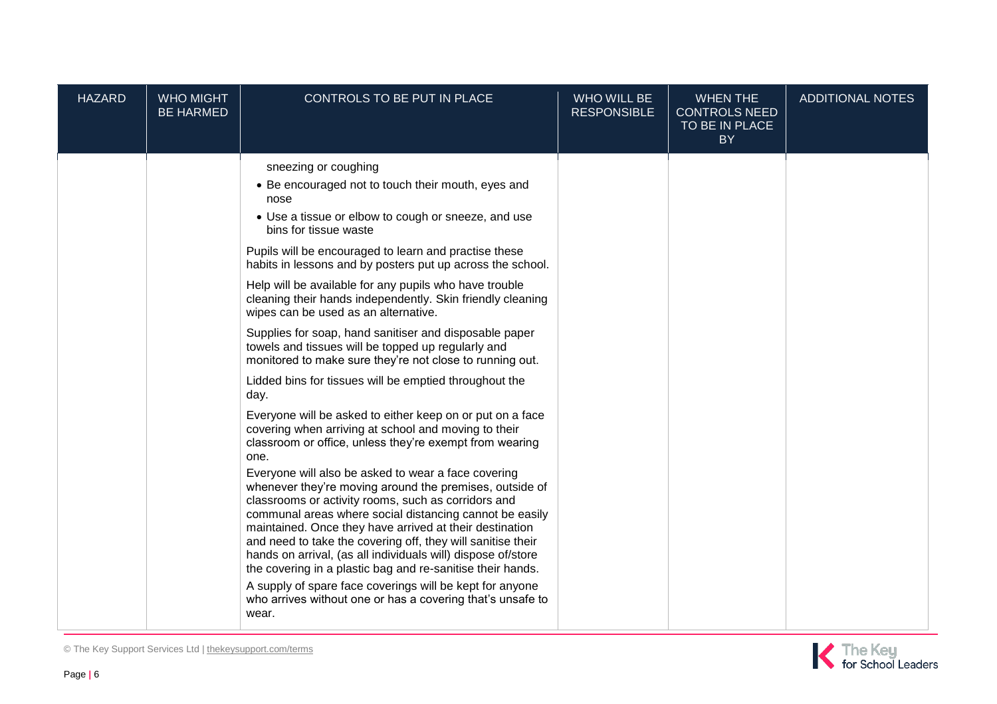| <b>HAZARD</b> | <b>WHO MIGHT</b><br><b>BE HARMED</b> | CONTROLS TO BE PUT IN PLACE                                                                                                                                                                                                                                                                                                                                                                                                                                                                                                                                                                                                                                                                                                                                                                                                                                                                                                                                                                                                                                                                                                                                                                                                                                                                                                                                                                                                                                                                                                    | <b>WHO WILL BE</b><br><b>RESPONSIBLE</b> | <b>WHEN THE</b><br><b>CONTROLS NEED</b><br>TO BE IN PLACE<br><b>BY</b> | <b>ADDITIONAL NOTES</b> |
|---------------|--------------------------------------|--------------------------------------------------------------------------------------------------------------------------------------------------------------------------------------------------------------------------------------------------------------------------------------------------------------------------------------------------------------------------------------------------------------------------------------------------------------------------------------------------------------------------------------------------------------------------------------------------------------------------------------------------------------------------------------------------------------------------------------------------------------------------------------------------------------------------------------------------------------------------------------------------------------------------------------------------------------------------------------------------------------------------------------------------------------------------------------------------------------------------------------------------------------------------------------------------------------------------------------------------------------------------------------------------------------------------------------------------------------------------------------------------------------------------------------------------------------------------------------------------------------------------------|------------------------------------------|------------------------------------------------------------------------|-------------------------|
|               |                                      | sneezing or coughing<br>• Be encouraged not to touch their mouth, eyes and<br>nose<br>• Use a tissue or elbow to cough or sneeze, and use<br>bins for tissue waste<br>Pupils will be encouraged to learn and practise these<br>habits in lessons and by posters put up across the school.<br>Help will be available for any pupils who have trouble<br>cleaning their hands independently. Skin friendly cleaning<br>wipes can be used as an alternative.<br>Supplies for soap, hand sanitiser and disposable paper<br>towels and tissues will be topped up regularly and<br>monitored to make sure they're not close to running out.<br>Lidded bins for tissues will be emptied throughout the<br>day.<br>Everyone will be asked to either keep on or put on a face<br>covering when arriving at school and moving to their<br>classroom or office, unless they're exempt from wearing<br>one.<br>Everyone will also be asked to wear a face covering<br>whenever they're moving around the premises, outside of<br>classrooms or activity rooms, such as corridors and<br>communal areas where social distancing cannot be easily<br>maintained. Once they have arrived at their destination<br>and need to take the covering off, they will sanitise their<br>hands on arrival, (as all individuals will) dispose of/store<br>the covering in a plastic bag and re-sanitise their hands.<br>A supply of spare face coverings will be kept for anyone<br>who arrives without one or has a covering that's unsafe to<br>wear. |                                          |                                                                        |                         |

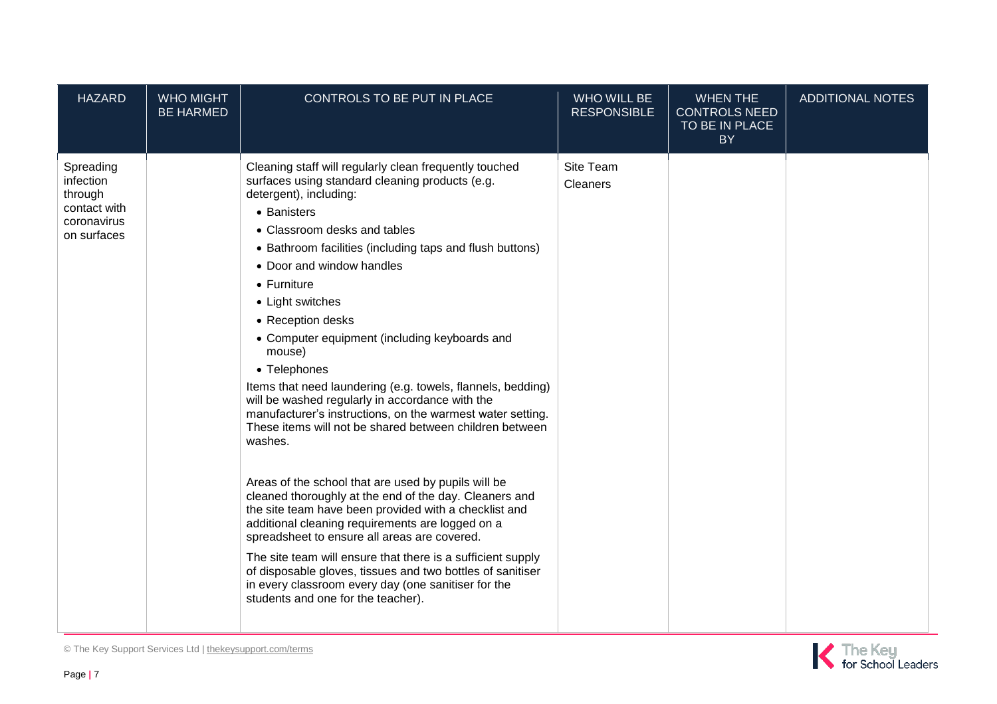| <b>HAZARD</b>                                                                   | <b>WHO MIGHT</b><br><b>BE HARMED</b> | CONTROLS TO BE PUT IN PLACE                                                                                                                                                                                                                                                                                                                                                                                                                                                                                                                                                                                                                                                                                                                                                                                                                                                                                                                                                                                                                                                                                                                                                          | WHO WILL BE<br><b>RESPONSIBLE</b> | <b>WHEN THE</b><br><b>CONTROLS NEED</b><br>TO BE IN PLACE<br>BY | <b>ADDITIONAL NOTES</b> |
|---------------------------------------------------------------------------------|--------------------------------------|--------------------------------------------------------------------------------------------------------------------------------------------------------------------------------------------------------------------------------------------------------------------------------------------------------------------------------------------------------------------------------------------------------------------------------------------------------------------------------------------------------------------------------------------------------------------------------------------------------------------------------------------------------------------------------------------------------------------------------------------------------------------------------------------------------------------------------------------------------------------------------------------------------------------------------------------------------------------------------------------------------------------------------------------------------------------------------------------------------------------------------------------------------------------------------------|-----------------------------------|-----------------------------------------------------------------|-------------------------|
| Spreading<br>infection<br>through<br>contact with<br>coronavirus<br>on surfaces |                                      | Cleaning staff will regularly clean frequently touched<br>surfaces using standard cleaning products (e.g.<br>detergent), including:<br>• Banisters<br>• Classroom desks and tables<br>• Bathroom facilities (including taps and flush buttons)<br>• Door and window handles<br>$\bullet$ Furniture<br>• Light switches<br>• Reception desks<br>• Computer equipment (including keyboards and<br>mouse)<br>• Telephones<br>Items that need laundering (e.g. towels, flannels, bedding)<br>will be washed regularly in accordance with the<br>manufacturer's instructions, on the warmest water setting.<br>These items will not be shared between children between<br>washes.<br>Areas of the school that are used by pupils will be<br>cleaned thoroughly at the end of the day. Cleaners and<br>the site team have been provided with a checklist and<br>additional cleaning requirements are logged on a<br>spreadsheet to ensure all areas are covered.<br>The site team will ensure that there is a sufficient supply<br>of disposable gloves, tissues and two bottles of sanitiser<br>in every classroom every day (one sanitiser for the<br>students and one for the teacher). | Site Team<br>Cleaners             |                                                                 |                         |

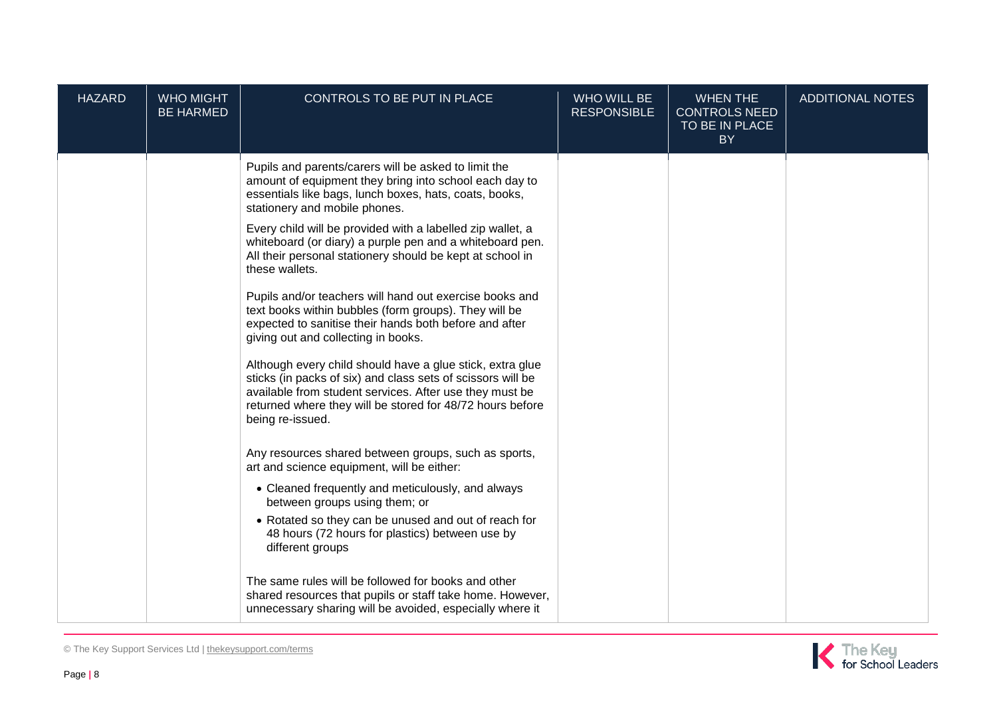| <b>HAZARD</b> | <b>WHO MIGHT</b><br><b>BE HARMED</b> | CONTROLS TO BE PUT IN PLACE                                                                                                                                                                                                                                          | <b>WHO WILL BE</b><br><b>RESPONSIBLE</b> | <b>WHEN THE</b><br><b>CONTROLS NEED</b><br>TO BE IN PLACE<br><b>BY</b> | <b>ADDITIONAL NOTES</b> |
|---------------|--------------------------------------|----------------------------------------------------------------------------------------------------------------------------------------------------------------------------------------------------------------------------------------------------------------------|------------------------------------------|------------------------------------------------------------------------|-------------------------|
|               |                                      | Pupils and parents/carers will be asked to limit the<br>amount of equipment they bring into school each day to<br>essentials like bags, lunch boxes, hats, coats, books,<br>stationery and mobile phones.                                                            |                                          |                                                                        |                         |
|               |                                      | Every child will be provided with a labelled zip wallet, a<br>whiteboard (or diary) a purple pen and a whiteboard pen.<br>All their personal stationery should be kept at school in<br>these wallets.                                                                |                                          |                                                                        |                         |
|               |                                      | Pupils and/or teachers will hand out exercise books and<br>text books within bubbles (form groups). They will be<br>expected to sanitise their hands both before and after<br>giving out and collecting in books.                                                    |                                          |                                                                        |                         |
|               |                                      | Although every child should have a glue stick, extra glue<br>sticks (in packs of six) and class sets of scissors will be<br>available from student services. After use they must be<br>returned where they will be stored for 48/72 hours before<br>being re-issued. |                                          |                                                                        |                         |
|               |                                      | Any resources shared between groups, such as sports,<br>art and science equipment, will be either:                                                                                                                                                                   |                                          |                                                                        |                         |
|               |                                      | • Cleaned frequently and meticulously, and always<br>between groups using them; or                                                                                                                                                                                   |                                          |                                                                        |                         |
|               |                                      | • Rotated so they can be unused and out of reach for<br>48 hours (72 hours for plastics) between use by<br>different groups                                                                                                                                          |                                          |                                                                        |                         |
|               |                                      | The same rules will be followed for books and other<br>shared resources that pupils or staff take home. However,<br>unnecessary sharing will be avoided, especially where it                                                                                         |                                          |                                                                        |                         |



© The Key Support Services Ltd | [thekeysupport.com/terms](https://thekeysupport.com/terms-of-use)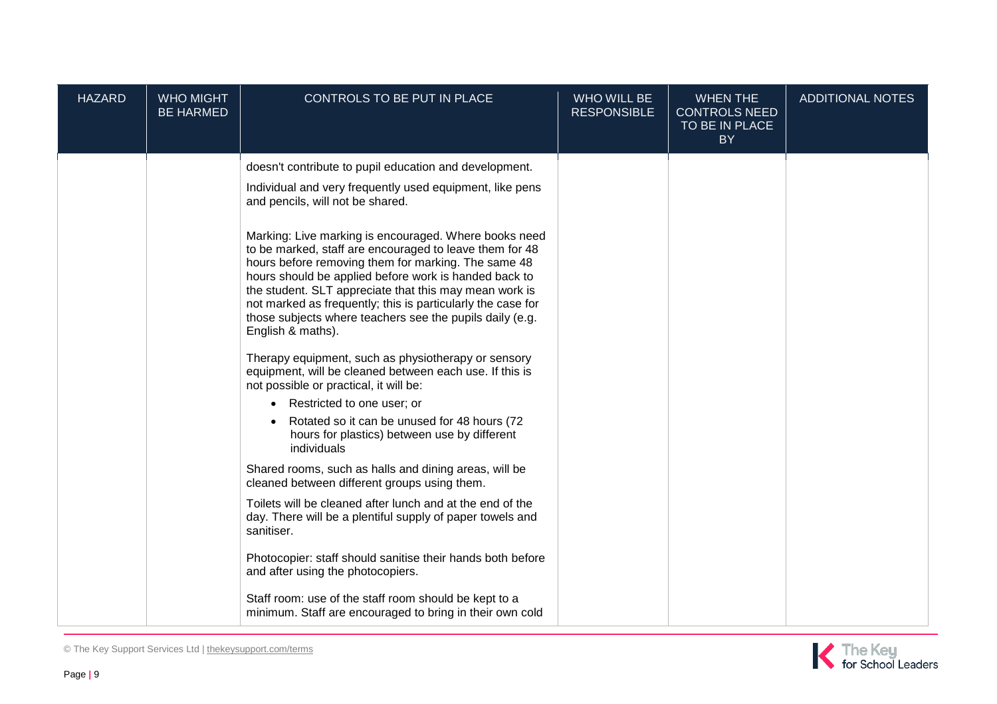| <b>HAZARD</b> | <b>WHO MIGHT</b><br><b>BE HARMED</b> | CONTROLS TO BE PUT IN PLACE                                                                                                                                                                                                                                                                                                                                                                                                                                                                                                                                                                                                                                                                                                                                                                                                                                                                                                                                                                                                                                                                                                                                                                                                                                                                                                                                                              | <b>WHO WILL BE</b><br><b>RESPONSIBLE</b> | <b>WHEN THE</b><br><b>CONTROLS NEED</b><br>TO BE IN PLACE<br><b>BY</b> | <b>ADDITIONAL NOTES</b> |
|---------------|--------------------------------------|------------------------------------------------------------------------------------------------------------------------------------------------------------------------------------------------------------------------------------------------------------------------------------------------------------------------------------------------------------------------------------------------------------------------------------------------------------------------------------------------------------------------------------------------------------------------------------------------------------------------------------------------------------------------------------------------------------------------------------------------------------------------------------------------------------------------------------------------------------------------------------------------------------------------------------------------------------------------------------------------------------------------------------------------------------------------------------------------------------------------------------------------------------------------------------------------------------------------------------------------------------------------------------------------------------------------------------------------------------------------------------------|------------------------------------------|------------------------------------------------------------------------|-------------------------|
|               |                                      | doesn't contribute to pupil education and development.<br>Individual and very frequently used equipment, like pens<br>and pencils, will not be shared.<br>Marking: Live marking is encouraged. Where books need<br>to be marked, staff are encouraged to leave them for 48<br>hours before removing them for marking. The same 48<br>hours should be applied before work is handed back to<br>the student. SLT appreciate that this may mean work is<br>not marked as frequently; this is particularly the case for<br>those subjects where teachers see the pupils daily (e.g.<br>English & maths).<br>Therapy equipment, such as physiotherapy or sensory<br>equipment, will be cleaned between each use. If this is<br>not possible or practical, it will be:<br>• Restricted to one user; or<br>Rotated so it can be unused for 48 hours (72<br>hours for plastics) between use by different<br>individuals<br>Shared rooms, such as halls and dining areas, will be<br>cleaned between different groups using them.<br>Toilets will be cleaned after lunch and at the end of the<br>day. There will be a plentiful supply of paper towels and<br>sanitiser.<br>Photocopier: staff should sanitise their hands both before<br>and after using the photocopiers.<br>Staff room: use of the staff room should be kept to a<br>minimum. Staff are encouraged to bring in their own cold |                                          |                                                                        |                         |

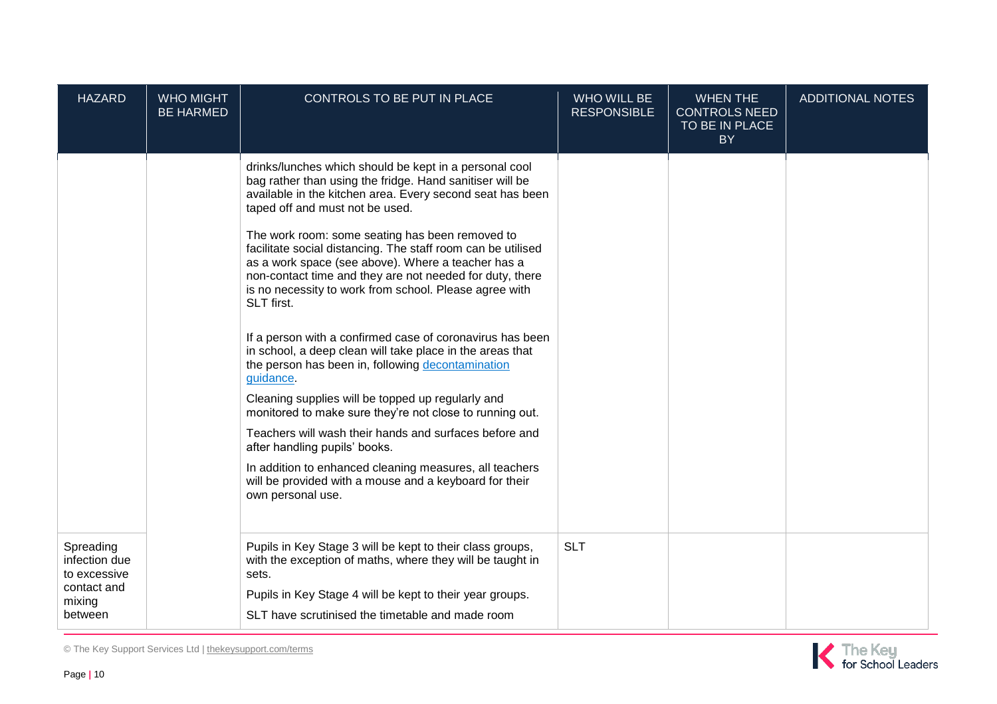| <b>HAZARD</b>                                                                  | <b>WHO MIGHT</b><br><b>BE HARMED</b> | CONTROLS TO BE PUT IN PLACE                                                                                                                                                                                                                                                                                                                                                                                                                                                                                       | <b>WHO WILL BE</b><br><b>RESPONSIBLE</b> | <b>WHEN THE</b><br><b>CONTROLS NEED</b><br>TO BE IN PLACE<br><b>BY</b> | <b>ADDITIONAL NOTES</b> |
|--------------------------------------------------------------------------------|--------------------------------------|-------------------------------------------------------------------------------------------------------------------------------------------------------------------------------------------------------------------------------------------------------------------------------------------------------------------------------------------------------------------------------------------------------------------------------------------------------------------------------------------------------------------|------------------------------------------|------------------------------------------------------------------------|-------------------------|
|                                                                                |                                      | drinks/lunches which should be kept in a personal cool<br>bag rather than using the fridge. Hand sanitiser will be<br>available in the kitchen area. Every second seat has been<br>taped off and must not be used.<br>The work room: some seating has been removed to<br>facilitate social distancing. The staff room can be utilised<br>as a work space (see above). Where a teacher has a<br>non-contact time and they are not needed for duty, there<br>is no necessity to work from school. Please agree with |                                          |                                                                        |                         |
|                                                                                |                                      | SLT first.<br>If a person with a confirmed case of coronavirus has been<br>in school, a deep clean will take place in the areas that<br>the person has been in, following decontamination<br>guidance.<br>Cleaning supplies will be topped up regularly and<br>monitored to make sure they're not close to running out.<br>Teachers will wash their hands and surfaces before and<br>after handling pupils' books.                                                                                                |                                          |                                                                        |                         |
|                                                                                |                                      | In addition to enhanced cleaning measures, all teachers<br>will be provided with a mouse and a keyboard for their<br>own personal use.                                                                                                                                                                                                                                                                                                                                                                            |                                          |                                                                        |                         |
| Spreading<br>infection due<br>to excessive<br>contact and<br>mixing<br>between |                                      | Pupils in Key Stage 3 will be kept to their class groups,<br>with the exception of maths, where they will be taught in<br>sets.<br>Pupils in Key Stage 4 will be kept to their year groups.<br>SLT have scrutinised the timetable and made room                                                                                                                                                                                                                                                                   | <b>SLT</b>                               |                                                                        |                         |

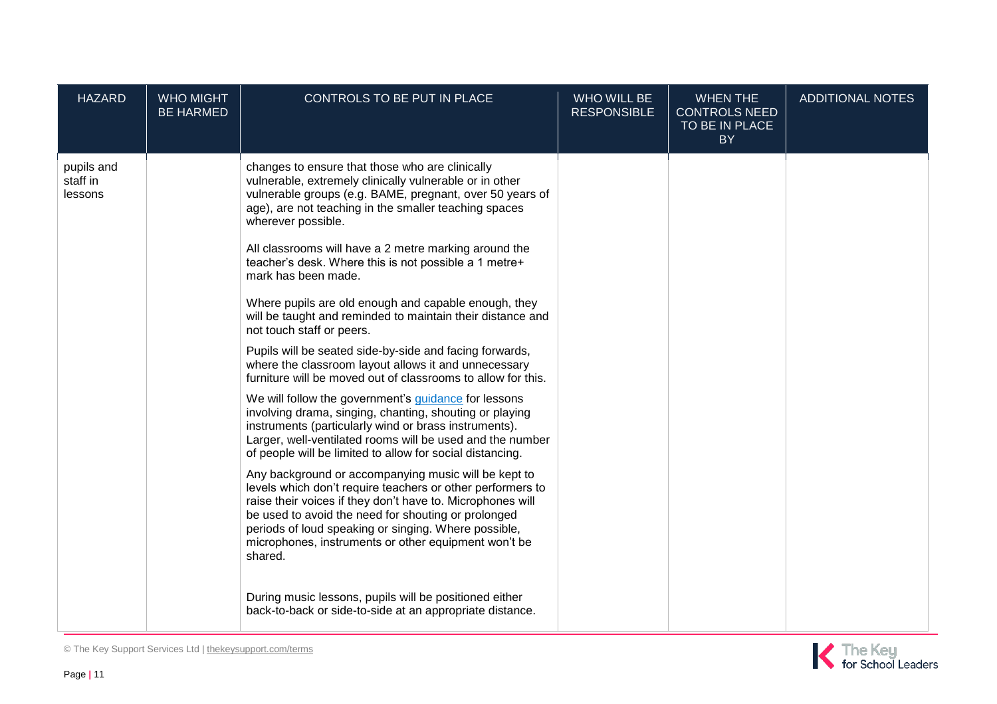| <b>HAZARD</b>                     | <b>WHO MIGHT</b><br><b>BE HARMED</b> | CONTROLS TO BE PUT IN PLACE                                                                                                                                                                                                                                                                                                                                        | WHO WILL BE<br><b>RESPONSIBLE</b> | <b>WHEN THE</b><br><b>CONTROLS NEED</b><br>TO BE IN PLACE<br>BY | <b>ADDITIONAL NOTES</b> |
|-----------------------------------|--------------------------------------|--------------------------------------------------------------------------------------------------------------------------------------------------------------------------------------------------------------------------------------------------------------------------------------------------------------------------------------------------------------------|-----------------------------------|-----------------------------------------------------------------|-------------------------|
| pupils and<br>staff in<br>lessons |                                      | changes to ensure that those who are clinically<br>vulnerable, extremely clinically vulnerable or in other<br>vulnerable groups (e.g. BAME, pregnant, over 50 years of<br>age), are not teaching in the smaller teaching spaces<br>wherever possible.<br>All classrooms will have a 2 metre marking around the                                                     |                                   |                                                                 |                         |
|                                   |                                      | teacher's desk. Where this is not possible a 1 metre+<br>mark has been made.<br>Where pupils are old enough and capable enough, they                                                                                                                                                                                                                               |                                   |                                                                 |                         |
|                                   |                                      | will be taught and reminded to maintain their distance and<br>not touch staff or peers.                                                                                                                                                                                                                                                                            |                                   |                                                                 |                         |
|                                   |                                      | Pupils will be seated side-by-side and facing forwards,<br>where the classroom layout allows it and unnecessary<br>furniture will be moved out of classrooms to allow for this.                                                                                                                                                                                    |                                   |                                                                 |                         |
|                                   |                                      | We will follow the government's <i>guidance</i> for lessons<br>involving drama, singing, chanting, shouting or playing<br>instruments (particularly wind or brass instruments).<br>Larger, well-ventilated rooms will be used and the number<br>of people will be limited to allow for social distancing.                                                          |                                   |                                                                 |                         |
|                                   |                                      | Any background or accompanying music will be kept to<br>levels which don't require teachers or other performers to<br>raise their voices if they don't have to. Microphones will<br>be used to avoid the need for shouting or prolonged<br>periods of loud speaking or singing. Where possible,<br>microphones, instruments or other equipment won't be<br>shared. |                                   |                                                                 |                         |
|                                   |                                      | During music lessons, pupils will be positioned either<br>back-to-back or side-to-side at an appropriate distance.                                                                                                                                                                                                                                                 |                                   |                                                                 |                         |

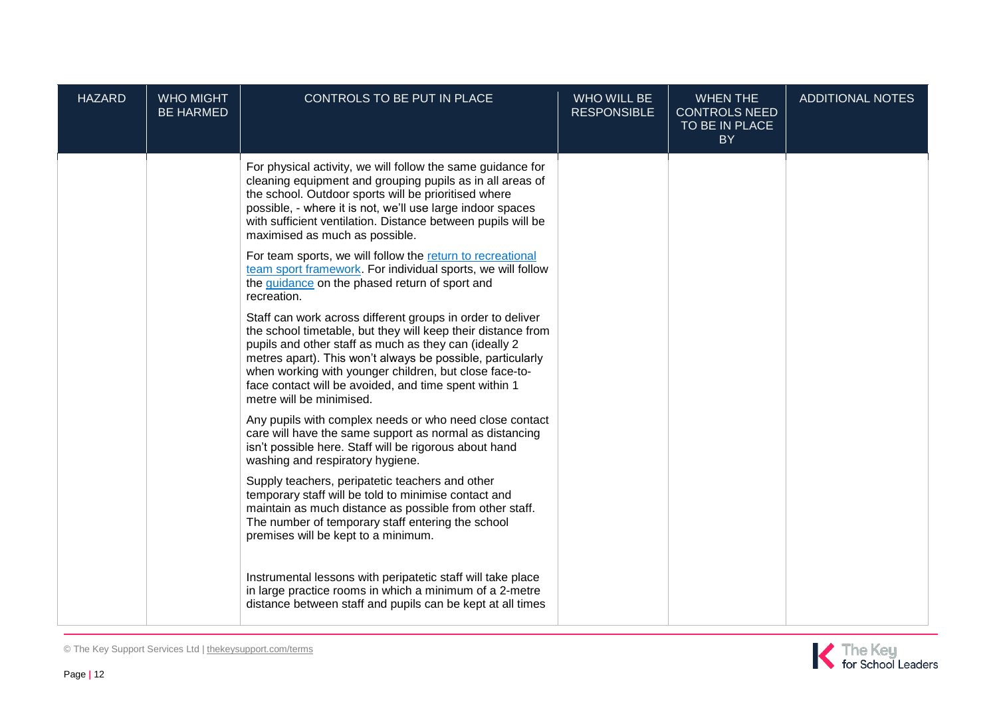| <b>HAZARD</b> | <b>WHO MIGHT</b><br><b>BE HARMED</b> | CONTROLS TO BE PUT IN PLACE                                                                                                                                                                                                                                                                                                                                                                                    | <b>WHO WILL BE</b><br><b>RESPONSIBLE</b> | <b>WHEN THE</b><br><b>CONTROLS NEED</b><br>TO BE IN PLACE<br><b>BY</b> | <b>ADDITIONAL NOTES</b> |
|---------------|--------------------------------------|----------------------------------------------------------------------------------------------------------------------------------------------------------------------------------------------------------------------------------------------------------------------------------------------------------------------------------------------------------------------------------------------------------------|------------------------------------------|------------------------------------------------------------------------|-------------------------|
|               |                                      | For physical activity, we will follow the same guidance for<br>cleaning equipment and grouping pupils as in all areas of<br>the school. Outdoor sports will be prioritised where<br>possible, - where it is not, we'll use large indoor spaces<br>with sufficient ventilation. Distance between pupils will be<br>maximised as much as possible.<br>For team sports, we will follow the return to recreational |                                          |                                                                        |                         |
|               |                                      | team sport framework. For individual sports, we will follow<br>the guidance on the phased return of sport and<br>recreation.                                                                                                                                                                                                                                                                                   |                                          |                                                                        |                         |
|               |                                      | Staff can work across different groups in order to deliver<br>the school timetable, but they will keep their distance from<br>pupils and other staff as much as they can (ideally 2<br>metres apart). This won't always be possible, particularly<br>when working with younger children, but close face-to-<br>face contact will be avoided, and time spent within 1<br>metre will be minimised.               |                                          |                                                                        |                         |
|               |                                      | Any pupils with complex needs or who need close contact<br>care will have the same support as normal as distancing<br>isn't possible here. Staff will be rigorous about hand<br>washing and respiratory hygiene.                                                                                                                                                                                               |                                          |                                                                        |                         |
|               |                                      | Supply teachers, peripatetic teachers and other<br>temporary staff will be told to minimise contact and<br>maintain as much distance as possible from other staff.<br>The number of temporary staff entering the school<br>premises will be kept to a minimum.                                                                                                                                                 |                                          |                                                                        |                         |
|               |                                      | Instrumental lessons with peripatetic staff will take place<br>in large practice rooms in which a minimum of a 2-metre<br>distance between staff and pupils can be kept at all times                                                                                                                                                                                                                           |                                          |                                                                        |                         |

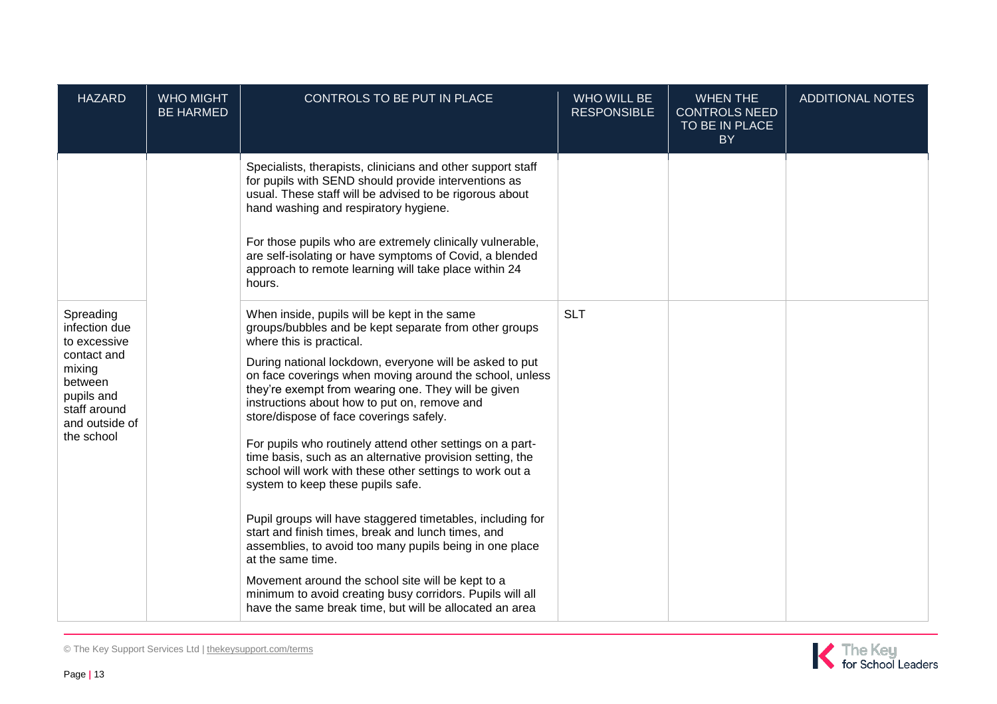| <b>HAZARD</b>                                                                                                                                | <b>WHO MIGHT</b><br><b>BE HARMED</b> | CONTROLS TO BE PUT IN PLACE                                                                                                                                                                                                                                                                                                                                                                                                                                                                                                                                                                                                                                                                                                                                                                                                                                                                                                                                                                                           | WHO WILL BE<br><b>RESPONSIBLE</b> | <b>WHEN THE</b><br><b>CONTROLS NEED</b><br>TO BE IN PLACE<br><b>BY</b> | <b>ADDITIONAL NOTES</b> |
|----------------------------------------------------------------------------------------------------------------------------------------------|--------------------------------------|-----------------------------------------------------------------------------------------------------------------------------------------------------------------------------------------------------------------------------------------------------------------------------------------------------------------------------------------------------------------------------------------------------------------------------------------------------------------------------------------------------------------------------------------------------------------------------------------------------------------------------------------------------------------------------------------------------------------------------------------------------------------------------------------------------------------------------------------------------------------------------------------------------------------------------------------------------------------------------------------------------------------------|-----------------------------------|------------------------------------------------------------------------|-------------------------|
|                                                                                                                                              |                                      | Specialists, therapists, clinicians and other support staff<br>for pupils with SEND should provide interventions as<br>usual. These staff will be advised to be rigorous about<br>hand washing and respiratory hygiene.<br>For those pupils who are extremely clinically vulnerable,<br>are self-isolating or have symptoms of Covid, a blended<br>approach to remote learning will take place within 24<br>hours.                                                                                                                                                                                                                                                                                                                                                                                                                                                                                                                                                                                                    |                                   |                                                                        |                         |
| Spreading<br>infection due<br>to excessive<br>contact and<br>mixing<br>between<br>pupils and<br>staff around<br>and outside of<br>the school |                                      | When inside, pupils will be kept in the same<br>groups/bubbles and be kept separate from other groups<br>where this is practical.<br>During national lockdown, everyone will be asked to put<br>on face coverings when moving around the school, unless<br>they're exempt from wearing one. They will be given<br>instructions about how to put on, remove and<br>store/dispose of face coverings safely.<br>For pupils who routinely attend other settings on a part-<br>time basis, such as an alternative provision setting, the<br>school will work with these other settings to work out a<br>system to keep these pupils safe.<br>Pupil groups will have staggered timetables, including for<br>start and finish times, break and lunch times, and<br>assemblies, to avoid too many pupils being in one place<br>at the same time.<br>Movement around the school site will be kept to a<br>minimum to avoid creating busy corridors. Pupils will all<br>have the same break time, but will be allocated an area | <b>SLT</b>                        |                                                                        |                         |

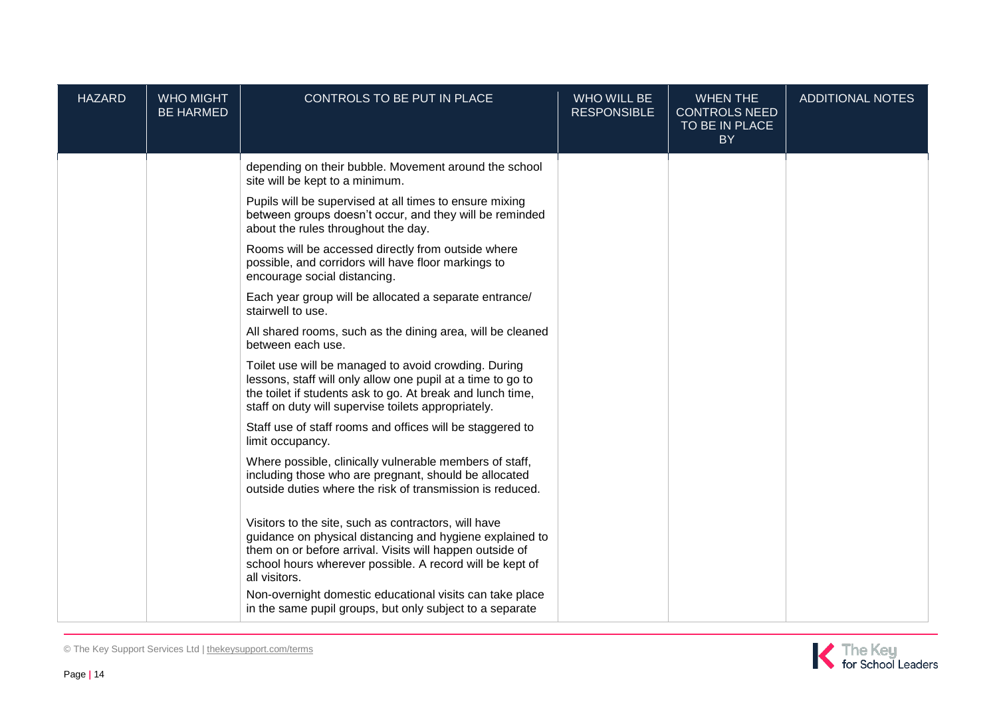| <b>HAZARD</b> | <b>WHO MIGHT</b><br><b>BE HARMED</b> | CONTROLS TO BE PUT IN PLACE                                                                                                                                                                                                                               | <b>WHO WILL BE</b><br><b>RESPONSIBLE</b> | <b>WHEN THE</b><br><b>CONTROLS NEED</b><br>TO BE IN PLACE<br><b>BY</b> | <b>ADDITIONAL NOTES</b> |
|---------------|--------------------------------------|-----------------------------------------------------------------------------------------------------------------------------------------------------------------------------------------------------------------------------------------------------------|------------------------------------------|------------------------------------------------------------------------|-------------------------|
|               |                                      | depending on their bubble. Movement around the school<br>site will be kept to a minimum.                                                                                                                                                                  |                                          |                                                                        |                         |
|               |                                      | Pupils will be supervised at all times to ensure mixing<br>between groups doesn't occur, and they will be reminded<br>about the rules throughout the day.                                                                                                 |                                          |                                                                        |                         |
|               |                                      | Rooms will be accessed directly from outside where<br>possible, and corridors will have floor markings to<br>encourage social distancing.                                                                                                                 |                                          |                                                                        |                         |
|               |                                      | Each year group will be allocated a separate entrance/<br>stairwell to use.                                                                                                                                                                               |                                          |                                                                        |                         |
|               |                                      | All shared rooms, such as the dining area, will be cleaned<br>between each use.                                                                                                                                                                           |                                          |                                                                        |                         |
|               |                                      | Toilet use will be managed to avoid crowding. During<br>lessons, staff will only allow one pupil at a time to go to<br>the toilet if students ask to go. At break and lunch time,<br>staff on duty will supervise toilets appropriately.                  |                                          |                                                                        |                         |
|               |                                      | Staff use of staff rooms and offices will be staggered to<br>limit occupancy.                                                                                                                                                                             |                                          |                                                                        |                         |
|               |                                      | Where possible, clinically vulnerable members of staff,<br>including those who are pregnant, should be allocated<br>outside duties where the risk of transmission is reduced.                                                                             |                                          |                                                                        |                         |
|               |                                      | Visitors to the site, such as contractors, will have<br>guidance on physical distancing and hygiene explained to<br>them on or before arrival. Visits will happen outside of<br>school hours wherever possible. A record will be kept of<br>all visitors. |                                          |                                                                        |                         |
|               |                                      | Non-overnight domestic educational visits can take place<br>in the same pupil groups, but only subject to a separate                                                                                                                                      |                                          |                                                                        |                         |

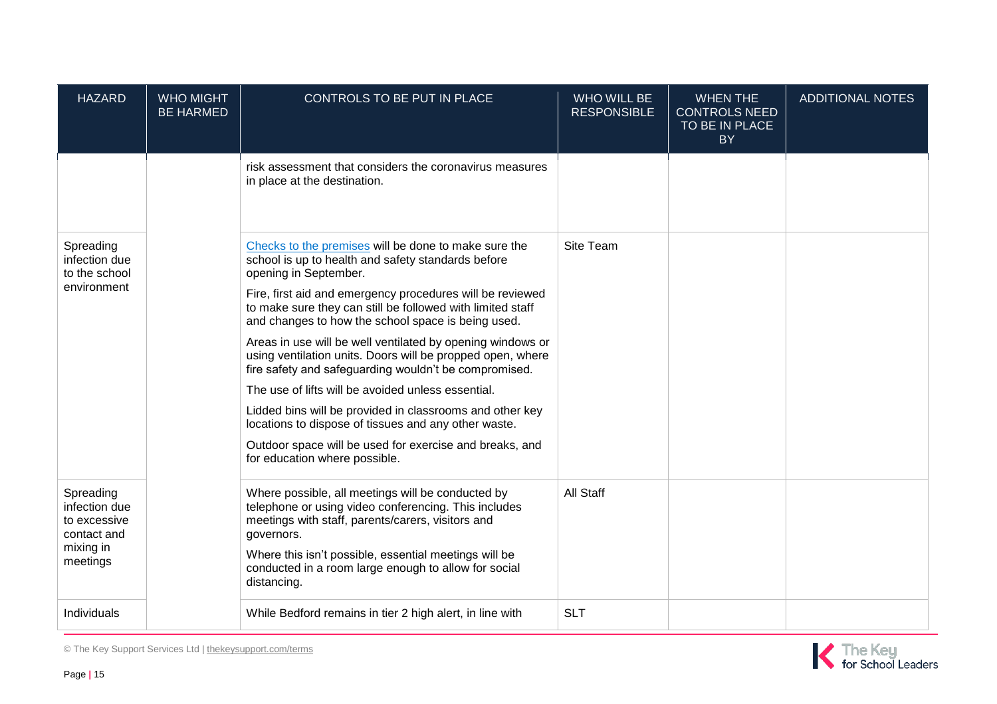| <b>HAZARD</b>                                                          | <b>WHO MIGHT</b><br><b>BE HARMED</b> | CONTROLS TO BE PUT IN PLACE                                                                                                                                                                                                           | <b>WHO WILL BE</b><br><b>RESPONSIBLE</b> | <b>WHEN THE</b><br><b>CONTROLS NEED</b><br>TO BE IN PLACE<br>BY | <b>ADDITIONAL NOTES</b> |
|------------------------------------------------------------------------|--------------------------------------|---------------------------------------------------------------------------------------------------------------------------------------------------------------------------------------------------------------------------------------|------------------------------------------|-----------------------------------------------------------------|-------------------------|
|                                                                        |                                      | risk assessment that considers the coronavirus measures<br>in place at the destination.                                                                                                                                               |                                          |                                                                 |                         |
| Spreading<br>infection due<br>to the school<br>environment             |                                      | Checks to the premises will be done to make sure the<br>school is up to health and safety standards before<br>opening in September.                                                                                                   | Site Team                                |                                                                 |                         |
|                                                                        |                                      | Fire, first aid and emergency procedures will be reviewed<br>to make sure they can still be followed with limited staff<br>and changes to how the school space is being used.                                                         |                                          |                                                                 |                         |
|                                                                        |                                      | Areas in use will be well ventilated by opening windows or<br>using ventilation units. Doors will be propped open, where<br>fire safety and safeguarding wouldn't be compromised.                                                     |                                          |                                                                 |                         |
|                                                                        |                                      | The use of lifts will be avoided unless essential.                                                                                                                                                                                    |                                          |                                                                 |                         |
|                                                                        |                                      | Lidded bins will be provided in classrooms and other key<br>locations to dispose of tissues and any other waste.                                                                                                                      |                                          |                                                                 |                         |
|                                                                        |                                      | Outdoor space will be used for exercise and breaks, and<br>for education where possible.                                                                                                                                              |                                          |                                                                 |                         |
| Spreading<br>infection due<br>to excessive<br>contact and<br>mixing in |                                      | Where possible, all meetings will be conducted by<br>telephone or using video conferencing. This includes<br>meetings with staff, parents/carers, visitors and<br>governors.<br>Where this isn't possible, essential meetings will be | All Staff                                |                                                                 |                         |
| meetings                                                               |                                      | conducted in a room large enough to allow for social<br>distancing.                                                                                                                                                                   |                                          |                                                                 |                         |
| Individuals                                                            |                                      | While Bedford remains in tier 2 high alert, in line with                                                                                                                                                                              | <b>SLT</b>                               |                                                                 |                         |



© The Key Support Services Ltd | [thekeysupport.com/terms](https://thekeysupport.com/terms-of-use)